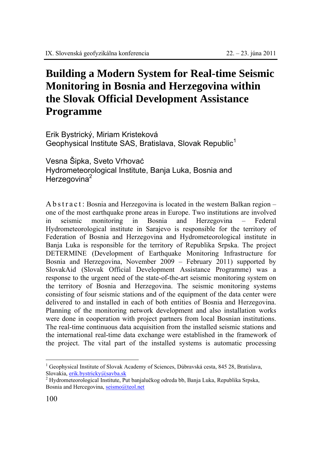## **Building a Modern System for Real-time Seismic Monitoring in Bosnia and Herzegovina within the Slovak Official Development Assistance Programme**

Erik Bystrický, Miriam Kristeková Geophysical Institute SAS, Bratislava, Slovak Republic<sup>1</sup>

Vesna Šipka, Sveto Vrhovaċ Hydrometeorological Institute, Banja Luka, Bosnia and Herzegovina<sup>2</sup>

A b s t r a c t : Bosnia and Herzegovina is located in the western Balkan region – one of the most earthquake prone areas in Europe. Two institutions are involved in seismic monitoring in Bosnia and Herzegovina – Federal Hydrometeorological institute in Sarajevo is responsible for the territory of Federation of Bosnia and Herzegovina and Hydrometeorological institute in Banja Luka is responsible for the territory of Republika Srpska. The project DETERMINE (Development of Earthquake Monitoring Infrastructure for Bosnia and Herzegovina, November 2009 – February 2011) supported by SlovakAid (Slovak Official Development Assistance Programme) was a response to the urgent need of the state-of-the-art seismic monitoring system on the territory of Bosnia and Herzegovina. The seismic monitoring systems consisting of four seismic stations and of the equipment of the data center were delivered to and installed in each of both entities of Bosnia and Herzegovina. Planning of the monitoring network development and also installation works were done in cooperation with project partners from local Bosnian institutions. The real-time continuous data acquisition from the installed seismic stations and the international real-time data exchange were established in the framework of the project. The vital part of the installed systems is automatic processing

 $\overline{a}$ 

<sup>1</sup> Geophysical Institute of Slovak Academy of Sciences, Dúbravská cesta, 845 28, Bratislava, Slovakia, erik.bystricky@savba.sk

<sup>&</sup>lt;sup>2</sup> Hydrometeorological Institute, Put banjalučkog odreda bb, Banja Luka, Republika Srpska, Bosnia and Hercegovina, seismo@teol.net